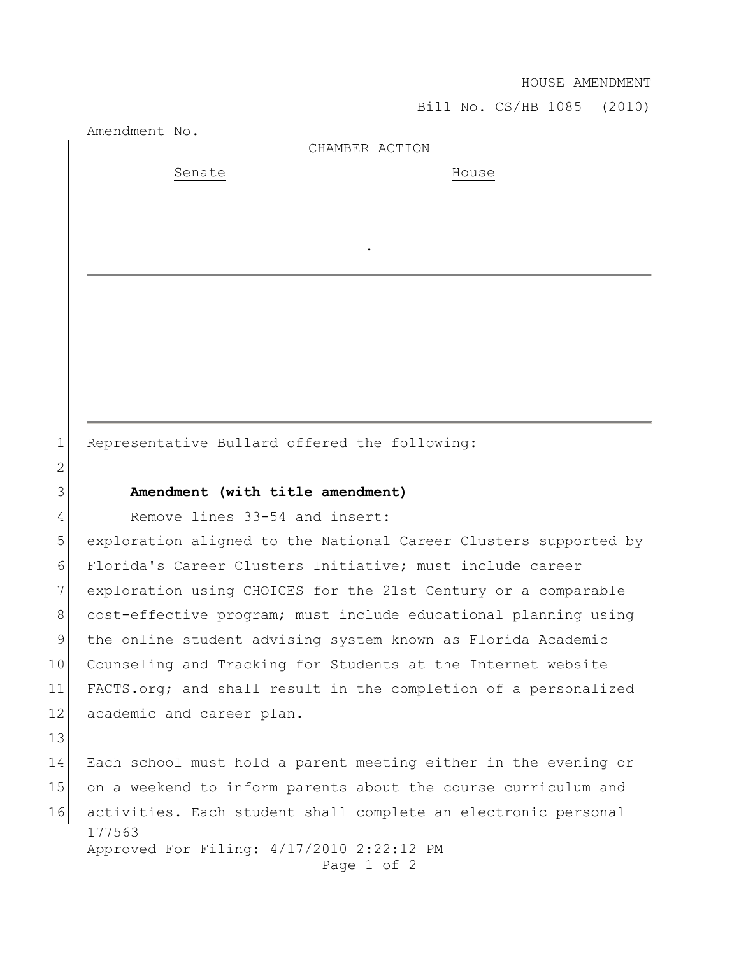HOUSE AMENDMENT

Bill No. CS/HB 1085 (2010)

Amendment No.

CHAMBER ACTION

.

Senate House

1 Representative Bullard offered the following:

## 3 **Amendment (with title amendment)**

4 Remove lines 33-54 and insert:

5 exploration aligned to the National Career Clusters supported by 6 Florida's Career Clusters Initiative; must include career 7 exploration using CHOICES for the 21st Century or a comparable 8 cost-effective program; must include educational planning using 9 the online student advising system known as Florida Academic 10 Counseling and Tracking for Students at the Internet website 11 FACTS.org; and shall result in the completion of a personalized 12 academic and career plan.

13

2

177563 Approved For Filing: 4/17/2010 2:22:12 PM 14 Each school must hold a parent meeting either in the evening or 15 on a weekend to inform parents about the course curriculum and 16 activities. Each student shall complete an electronic personal

Page 1 of 2